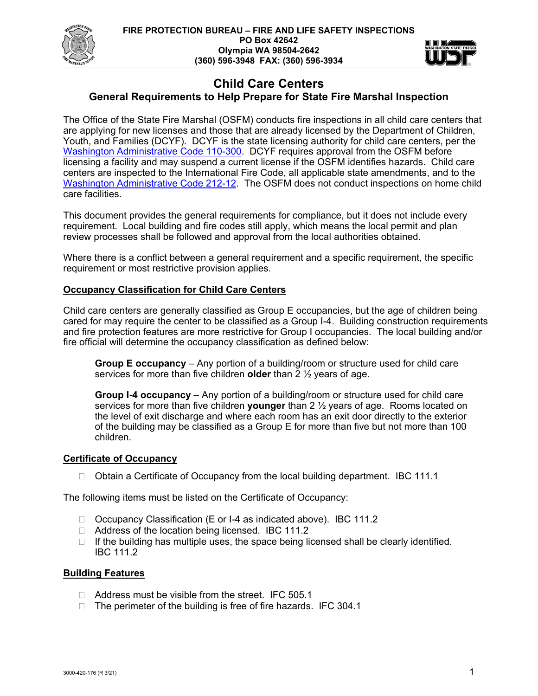

# **General Requirements to Help Prepare for State Fire Marshal Inspection**

The Office of the State Fire Marshal (OSFM) conducts fire inspections in all child care centers that are applying for new licenses and those that are already licensed by the Department of Children, Youth, and Families (DCYF). DCYF is the state licensing authority for child care centers, per the [Washington Administrative Code 110-300.](https://apps.leg.wa.gov/wac/default.aspx?cite=110-300) DCYF requires approval from the OSFM before licensing a facility and may suspend a current license if the OSFM identifies hazards. Child care centers are inspected to the International Fire Code, all applicable state amendments, and to the [Washington Administrative Code 212-12.](http://apps.leg.wa.gov/WAC/default.aspx?cite=212-12) The OSFM does not conduct inspections on home child care facilities.

This document provides the general requirements for compliance, but it does not include every requirement. Local building and fire codes still apply, which means the local permit and plan review processes shall be followed and approval from the local authorities obtained.

Where there is a conflict between a general requirement and a specific requirement, the specific requirement or most restrictive provision applies.

### **Occupancy Classification for Child Care Centers**

Child care centers are generally classified as Group E occupancies, but the age of children being cared for may require the center to be classified as a Group I-4. Building construction requirements and fire protection features are more restrictive for Group I occupancies. The local building and/or fire official will determine the occupancy classification as defined below:

**Group E occupancy** – Any portion of a building/room or structure used for child care services for more than five children **older** than 2 ½ years of age.

**Group I-4 occupancy** – Any portion of a building/room or structure used for child care services for more than five children **younger** than 2 ½ years of age. Rooms located on the level of exit discharge and where each room has an exit door directly to the exterior of the building may be classified as a Group E for more than five but not more than 100 children.

#### **Certificate of Occupancy**

 $\Box$  Obtain a Certificate of Occupancy from the local building department. IBC 111.1

The following items must be listed on the Certificate of Occupancy:

- □ Occupancy Classification (E or I-4 as indicated above). IBC 111.2
- □ Address of the location being licensed. IBC 111.2
- $\Box$  If the building has multiple uses, the space being licensed shall be clearly identified. IBC 111.2

#### **Building Features**

- □ Address must be visible from the street. IFC 505.1
- $\Box$  The perimeter of the building is free of fire hazards. IFC 304.1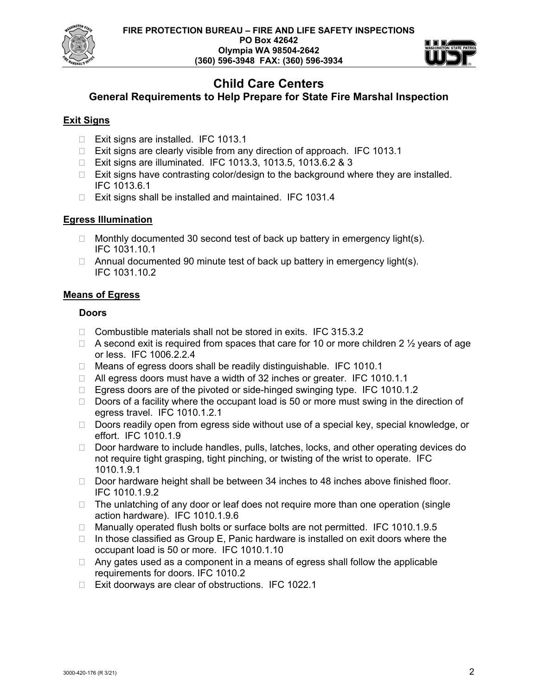



## **General Requirements to Help Prepare for State Fire Marshal Inspection**

### **Exit Signs**

- $\Box$  Exit signs are installed. IFC 1013.1
- $\Box$  Exit signs are clearly visible from any direction of approach. IFC 1013.1
- □ Exit signs are illuminated. IFC 1013.3, 1013.5, 1013.6.2 & 3
- $\Box$  Exit signs have contrasting color/design to the background where they are installed. IFC 1013.6.1
- $\Box$  Exit signs shall be installed and maintained. IFC 1031.4

### **Egress Illumination**

- $\Box$  Monthly documented 30 second test of back up battery in emergency light(s). IFC 1031.10.1
- $\Box$  Annual documented 90 minute test of back up battery in emergency light(s). IFC 1031.10.2

### **Means of Egress**

#### **Doors**

- □ Combustible materials shall not be stored in exits. IFC 315.3.2
- $\Box$  A second exit is required from spaces that care for 10 or more children 2  $\frac{1}{2}$  years of age or less. IFC 1006.2.2.4
- □ Means of egress doors shall be readily distinguishable. IFC 1010.1
- □ All egress doors must have a width of 32 inches or greater. IFC 1010.1.1
- □ Egress doors are of the pivoted or side-hinged swinging type. IFC 1010.1.2
- $\Box$  Doors of a facility where the occupant load is 50 or more must swing in the direction of egress travel. IFC 1010.1.2.1
- $\Box$  Doors readily open from egress side without use of a special key, special knowledge, or effort. IFC 1010.1.9
- □ Door hardware to include handles, pulls, latches, locks, and other operating devices do not require tight grasping, tight pinching, or twisting of the wrist to operate. IFC 1010.1.9.1
- Door hardware height shall be between 34 inches to 48 inches above finished floor. IFC 1010.1.9.2
- $\Box$  The unlatching of any door or leaf does not require more than one operation (single action hardware). IFC 1010.1.9.6
- $\Box$  Manually operated flush bolts or surface bolts are not permitted. IFC 1010.1.9.5
- $\Box$  In those classified as Group E, Panic hardware is installed on exit doors where the occupant load is 50 or more. IFC 1010.1.10
- $\Box$  Any gates used as a component in a means of egress shall follow the applicable requirements for doors. IFC 1010.2
- □ Exit doorways are clear of obstructions. IFC 1022.1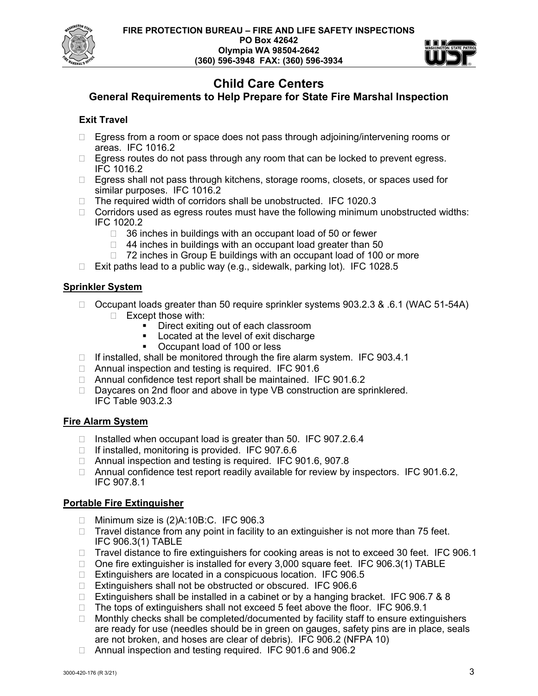



## **General Requirements to Help Prepare for State Fire Marshal Inspection**

## **Exit Travel**

- $\Box$  Egress from a room or space does not pass through adjoining/intervening rooms or areas. IFC 1016.2
- $\Box$  Egress routes do not pass through any room that can be locked to prevent egress. IFC 1016.2
- $\Box$  Egress shall not pass through kitchens, storage rooms, closets, or spaces used for similar purposes. IFC 1016.2
- $\Box$  The required width of corridors shall be unobstructed. IFC 1020.3
- $\Box$  Corridors used as egress routes must have the following minimum unobstructed widths: IFC 1020.2
	- $\Box$  36 inches in buildings with an occupant load of 50 or fewer
	- $\Box$  44 inches in buildings with an occupant load greater than 50
	- $\Box$  72 inches in Group E buildings with an occupant load of 100 or more
- Exit paths lead to a public way (e.g., sidewalk, parking lot). IFC 1028.5

### **Sprinkler System**

- Occupant loads greater than 50 require sprinkler systems 903.2.3 & .6.1 (WAC 51-54A) □ Except those with:
	- Direct exiting out of each classroom
	- Located at the level of exit discharge
	- Occupant load of 100 or less
- $\Box$  If installed, shall be monitored through the fire alarm system. IFC 903.4.1
- $\Box$  Annual inspection and testing is required. IFC 901.6
- □ Annual confidence test report shall be maintained. IFC 901.6.2
- □ Daycares on 2nd floor and above in type VB construction are sprinklered. IFC Table 903.2.3

#### **Fire Alarm System**

- $\Box$  Installed when occupant load is greater than 50. IFC 907.2.6.4
- $\Box$  If installed, monitoring is provided. IFC 907.6.6
- □ Annual inspection and testing is required. IFC 901.6, 907.8
- $\Box$  Annual confidence test report readily available for review by inspectors. IFC 901.6.2, IFC 907.8.1

### **Portable Fire Extinguisher**

- $\Box$  Minimum size is (2)A:10B:C. IFC 906.3
- $\Box$  Travel distance from any point in facility to an extinguisher is not more than 75 feet. IFC 906.3(1) TABLE
- $\Box$  Travel distance to fire extinguishers for cooking areas is not to exceed 30 feet. IFC 906.1
- $\Box$  One fire extinguisher is installed for every 3,000 square feet. IFC 906.3(1) TABLE
- □ Extinguishers are located in a conspicuous location. IFC 906.5
- □ Extinguishers shall not be obstructed or obscured. IFC 906.6
- Extinguishers shall be installed in a cabinet or by a hanging bracket. IFC 906.7 & 8
- □ The tops of extinguishers shall not exceed 5 feet above the floor. IFC 906.9.1
- $\Box$  Monthly checks shall be completed/documented by facility staff to ensure extinguishers are ready for use (needles should be in green on gauges, safety pins are in place, seals are not broken, and hoses are clear of debris). IFC 906.2 (NFPA 10)
- □ Annual inspection and testing required. IFC 901.6 and 906.2